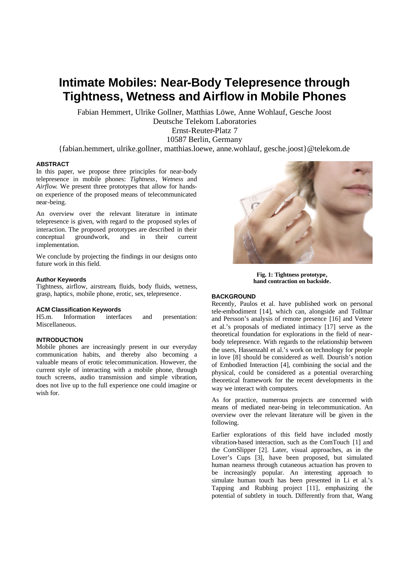# **Intimate Mobiles: Near-Body Telepresence through Tightness, Wetness and Airflow in Mobile Phones**

Fabian Hemmert, Ulrike Gollner, Matthias Löwe, Anne Wohlauf, Gesche Joost Deutsche Telekom Laboratories Ernst-Reuter-Platz 7

10587 Berlin, Germany

{fabian.hemmert, ulrike.gollner, matthias.loewe, anne.wohlauf, gesche.joost}@telekom.de

## **ABSTRACT**

In this paper, we propose three principles for near-body telepresence in mobile phones: *Tightness*, *Wetness* and *Airflow*. We present three prototypes that allow for handson experience of the proposed means of telecommunicated near-being.

An overview over the relevant literature in intimate telepresence is given, with regard to the proposed styles of interaction. The proposed prototypes are described in their conceptual groundwork, and in their current implementation.

We conclude by projecting the findings in our designs onto future work in this field.

#### **Author Keywords**

Tightness, airflow, airstream, fluids, body fluids, wetness, grasp, haptics, mobile phone, erotic, sex, telepresence.

#### **ACM Classification Keywords**

H5.m. Information interfaces and presentation: Miscellaneous.

### **INTRODUCTION**

Mobile phones are increasingly present in our everyday communication habits, and thereby also becoming a valuable means of erotic telecommunication. However, the current style of interacting with a mobile phone, through touch screens, audio transmission and simple vibration, does not live up to the full experience one could imagine or wish for.



**Fig. 1: Tightness prototype, hand contraction on backside.**

## **BACKGROUND**

Recently, Paulos et al. have published work on personal tele-embodiment [14], which can, alongside and Tollmar and Persson's analysis of remote presence [16] and Vetere et al.'s proposals of mediated intimacy [17] serve as the theoretical foundation for explorations in the field of nearbody telepresence. With regards to the relationship between the users, Hassenzahl et al.'s work on technology for people in love [8] should be considered as well. Dourish's notion of Embodied Interaction [4], combining the social and the physical, could be considered as a potential overarching theoretical framework for the recent developments in the way we interact with computers.

As for practice, numerous projects are concerned with means of mediated near-being in telecommunication. An overview over the relevant literature will be given in the following.

Earlier explorations of this field have included mostly vibration-based interaction, such as the ComTouch [1] and the ComSlipper [2]. Later, visual approaches, as in the Lover's Cups [3], have been proposed, but simulated human nearness through cutaneous actuation has proven to be increasingly popular. An interesting approach to simulate human touch has been presented in Li et al.'s Tapping and Rubbing project [11], emphasizing the potential of subtlety in touch. Differently from that, Wang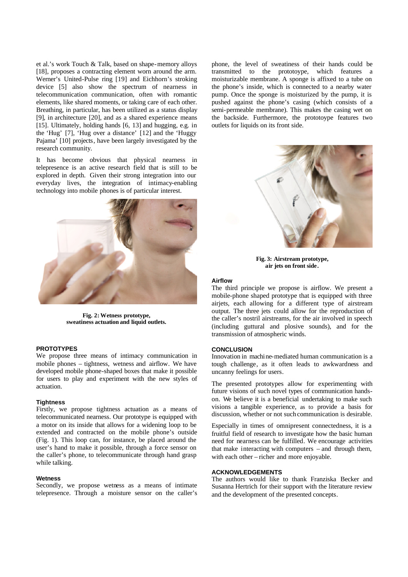et al.'s work Touch & Talk, based on shape-memory alloys [18], proposes a contracting element worn around the arm. Werner's United-Pulse ring [19] and Eichhorn's stroking device [5] also show the spectrum of nearness in telecommunication communication, often with romantic elements, like shared moments, or taking care of each other. Breathing, in particular, has been utilized as a status display [9], in architecture [20], and as a shared experience means [15]. Ultimately, holding hands [6, 13] and hugging, e.g. in the 'Hug' [7], 'Hug over a distance' [12] and the 'Huggy Pajama' [10] projects, have been largely investigated by the research community.

It has become obvious that physical nearness in telepresence is an active research field that is still to be explored in depth. Given their strong integration into our everyday lives, the integration of intimacy-enabling technology into mobile phones is of particular interest.



**Fig. 2: Wetness prototype, sweatiness actuation and liquid outlets.**

### **PROTOTYPES**

We propose three means of intimacy communication in mobile phones – tightness, wetness and airflow. We have developed mobile phone-shaped boxes that make it possible for users to play and experiment with the new styles of actuation.

#### **Tightness**

Firstly, we propose tightness actuation as a means of telecommunicated nearness. Our prototype is equipped with a motor on its inside that allows for a widening loop to be extended and contracted on the mobile phone's outside (Fig. 1). This loop can, for instance, be placed around the user's hand to make it possible, through a force sensor on the caller's phone, to telecommunicate through hand grasp while talking.

#### **Wetness**

Secondly, we propose wetness as a means of intimate telepresence. Through a moisture sensor on the caller's phone, the level of sweatiness of their hands could be transmitted to the prototoype, which features a moisturizable membrane. A sponge is affixed to a tube on the phone's inside, which is connected to a nearby water pump. Once the sponge is moisturized by the pump, it is pushed against the phone's casing (which consists of a semi-permeable membrane). This makes the casing wet on the backside. Furthermore, the prototoype features two outlets for liquids on its front side.



**Fig. 3: Airstream prototype, air jets on front side.**

## **Airflow**

The third principle we propose is airflow. We present a mobile-phone shaped prototype that is equipped with three airjets, each allowing for a different type of airstream output. The three jets could allow for the reproduction of the caller's nostril airstreams, for the air involved in speech (including guttural and plosive sounds), and for the transmission of atmospheric winds.

### **CONCLUSION**

Innovation in machine-mediated human communication is a tough challenge, as it often leads to awkwardness and uncanny feelings for users.

The presented prototypes allow for experimenting with future visions of such novel types of communication handson. We believe it is a beneficial undertaking to make such visions a tangible experience, as to provide a basis for discussion, whether or not such communication is desirable.

Especially in times of omnipresent connectedness, it is a fruitful field of research to investigate how the basic human need for nearness can be fulfilled. We encourage activities that make interacting with computers – and through them, with each other – richer and more enjoyable.

## **ACKNOWLEDGEMENTS**

The authors would like to thank Franziska Becker and Susanna Hertrich for their support with the literature review and the development of the presented concepts.